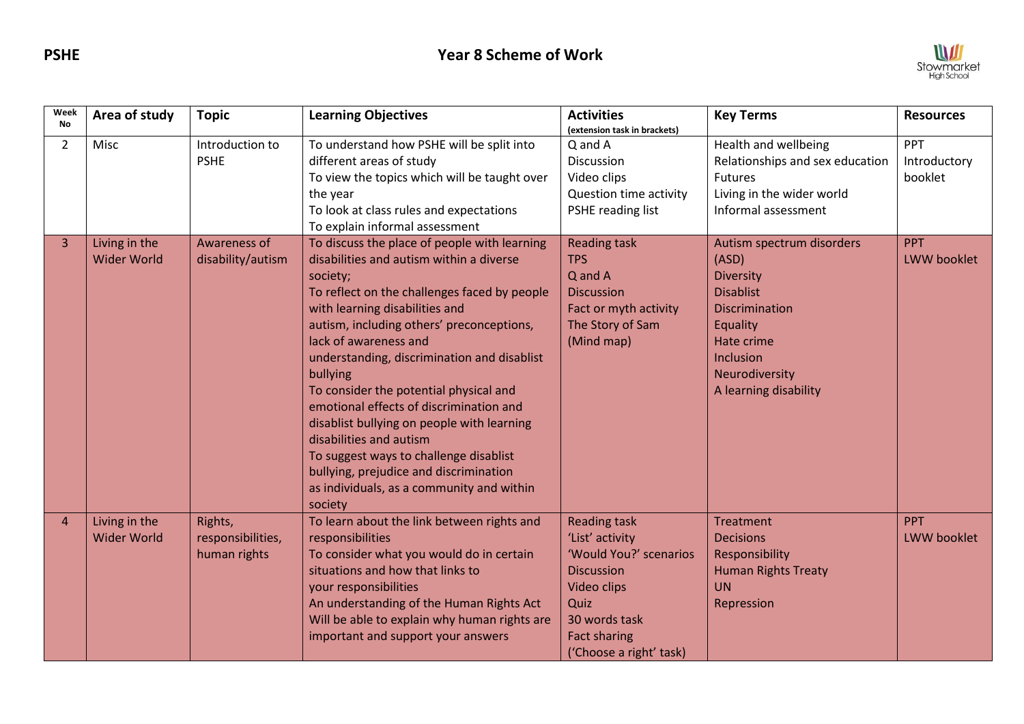

| Week<br><b>No</b> | Area of study                       | <b>Topic</b>                                 | <b>Learning Objectives</b>                                                                                                                                                                                                                                                                                                                                                                                                                                                                                                                                                                                                        | <b>Activities</b><br>(extension task in brackets)                                                                                                                                      | <b>Key Terms</b>                                                                                                                                                        | <b>Resources</b>                 |
|-------------------|-------------------------------------|----------------------------------------------|-----------------------------------------------------------------------------------------------------------------------------------------------------------------------------------------------------------------------------------------------------------------------------------------------------------------------------------------------------------------------------------------------------------------------------------------------------------------------------------------------------------------------------------------------------------------------------------------------------------------------------------|----------------------------------------------------------------------------------------------------------------------------------------------------------------------------------------|-------------------------------------------------------------------------------------------------------------------------------------------------------------------------|----------------------------------|
| $\overline{2}$    | Misc                                | Introduction to<br><b>PSHE</b>               | To understand how PSHE will be split into<br>different areas of study<br>To view the topics which will be taught over<br>the year<br>To look at class rules and expectations<br>To explain informal assessment                                                                                                                                                                                                                                                                                                                                                                                                                    | Q and A<br>Discussion<br>Video clips<br>Question time activity<br>PSHE reading list                                                                                                    | Health and wellbeing<br>Relationships and sex education<br><b>Futures</b><br>Living in the wider world<br>Informal assessment                                           | PPT<br>Introductory<br>booklet   |
| 3                 | Living in the<br><b>Wider World</b> | Awareness of<br>disability/autism            | To discuss the place of people with learning<br>disabilities and autism within a diverse<br>society;<br>To reflect on the challenges faced by people<br>with learning disabilities and<br>autism, including others' preconceptions,<br>lack of awareness and<br>understanding, discrimination and disablist<br>bullying<br>To consider the potential physical and<br>emotional effects of discrimination and<br>disablist bullying on people with learning<br>disabilities and autism<br>To suggest ways to challenge disablist<br>bullying, prejudice and discrimination<br>as individuals, as a community and within<br>society | <b>Reading task</b><br><b>TPS</b><br>Q and A<br><b>Discussion</b><br>Fact or myth activity<br>The Story of Sam<br>(Mind map)                                                           | Autism spectrum disorders<br>(ASD)<br>Diversity<br><b>Disablist</b><br>Discrimination<br>Equality<br>Hate crime<br>Inclusion<br>Neurodiversity<br>A learning disability | PPT<br><b>LWW booklet</b>        |
| 4                 | Living in the<br><b>Wider World</b> | Rights,<br>responsibilities,<br>human rights | To learn about the link between rights and<br>responsibilities<br>To consider what you would do in certain<br>situations and how that links to<br>your responsibilities<br>An understanding of the Human Rights Act<br>Will be able to explain why human rights are<br>important and support your answers                                                                                                                                                                                                                                                                                                                         | <b>Reading task</b><br>'List' activity<br>'Would You?' scenarios<br><b>Discussion</b><br><b>Video clips</b><br>Quiz<br>30 words task<br><b>Fact sharing</b><br>('Choose a right' task) | <b>Treatment</b><br><b>Decisions</b><br>Responsibility<br><b>Human Rights Treaty</b><br><b>UN</b><br>Repression                                                         | <b>PPT</b><br><b>LWW</b> booklet |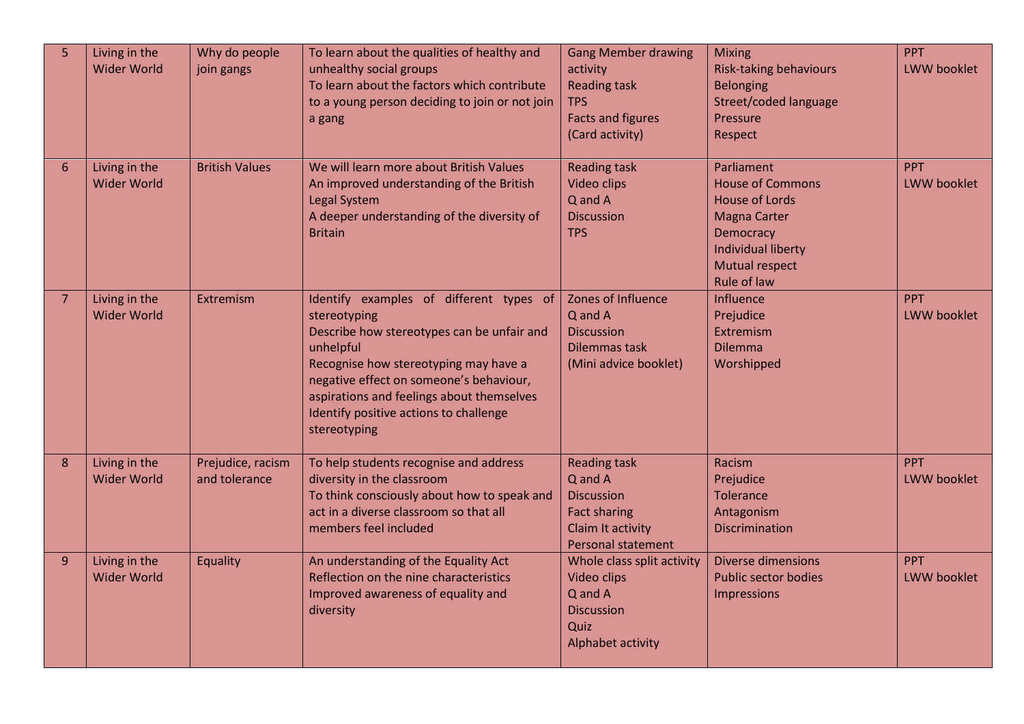| 5 | Living in the<br><b>Wider World</b> | Why do people<br>join gangs        | To learn about the qualities of healthy and<br>unhealthy social groups<br>To learn about the factors which contribute<br>to a young person deciding to join or not join<br>a gang                                                                                                                             | <b>Gang Member drawing</b><br>activity<br><b>Reading task</b><br><b>TPS</b><br><b>Facts and figures</b><br>(Card activity) | <b>Mixing</b><br><b>Risk-taking behaviours</b><br><b>Belonging</b><br>Street/coded language<br>Pressure<br>Respect                                                      | <b>PPT</b><br>LWW booklet        |
|---|-------------------------------------|------------------------------------|---------------------------------------------------------------------------------------------------------------------------------------------------------------------------------------------------------------------------------------------------------------------------------------------------------------|----------------------------------------------------------------------------------------------------------------------------|-------------------------------------------------------------------------------------------------------------------------------------------------------------------------|----------------------------------|
| 6 | Living in the<br><b>Wider World</b> | <b>British Values</b>              | We will learn more about British Values<br>An improved understanding of the British<br><b>Legal System</b><br>A deeper understanding of the diversity of<br><b>Britain</b>                                                                                                                                    | <b>Reading task</b><br>Video clips<br>Q and A<br><b>Discussion</b><br><b>TPS</b>                                           | Parliament<br><b>House of Commons</b><br><b>House of Lords</b><br><b>Magna Carter</b><br>Democracy<br><b>Individual liberty</b><br><b>Mutual respect</b><br>Rule of law | <b>PPT</b><br>LWW booklet        |
| 7 | Living in the<br><b>Wider World</b> | Extremism                          | Identify examples of different types of<br>stereotyping<br>Describe how stereotypes can be unfair and<br>unhelpful<br>Recognise how stereotyping may have a<br>negative effect on someone's behaviour,<br>aspirations and feelings about themselves<br>Identify positive actions to challenge<br>stereotyping | Zones of Influence<br>Q and A<br><b>Discussion</b><br>Dilemmas task<br>(Mini advice booklet)                               | Influence<br>Prejudice<br>Extremism<br><b>Dilemma</b><br>Worshipped                                                                                                     | <b>PPT</b><br>LWW booklet        |
| 8 | Living in the<br><b>Wider World</b> | Prejudice, racism<br>and tolerance | To help students recognise and address<br>diversity in the classroom<br>To think consciously about how to speak and<br>act in a diverse classroom so that all<br>members feel included                                                                                                                        | <b>Reading task</b><br>Q and A<br><b>Discussion</b><br><b>Fact sharing</b><br>Claim It activity<br>Personal statement      | Racism<br>Prejudice<br><b>Tolerance</b><br>Antagonism<br><b>Discrimination</b>                                                                                          | <b>PPT</b><br><b>LWW booklet</b> |
| 9 | Living in the<br><b>Wider World</b> | Equality                           | An understanding of the Equality Act<br>Reflection on the nine characteristics<br>Improved awareness of equality and<br>diversity                                                                                                                                                                             | Whole class split activity<br>Video clips<br>Q and A<br><b>Discussion</b><br>Quiz<br>Alphabet activity                     | <b>Diverse dimensions</b><br><b>Public sector bodies</b><br><b>Impressions</b>                                                                                          | <b>PPT</b><br>LWW booklet        |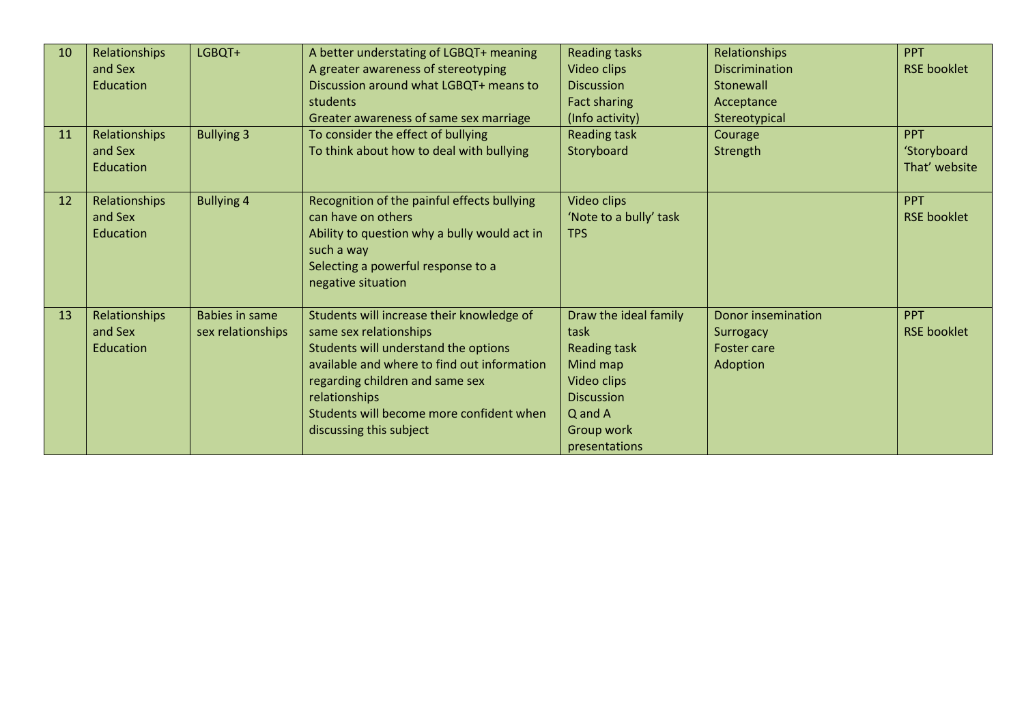| 10 | Relationships            | LGBQT+            | A better understating of LGBQT+ meaning          | <b>Reading tasks</b>          | Relationships                   | PPT                |
|----|--------------------------|-------------------|--------------------------------------------------|-------------------------------|---------------------------------|--------------------|
|    | and Sex                  |                   | A greater awareness of stereotyping              | Video clips                   | <b>Discrimination</b>           | <b>RSE booklet</b> |
|    | Education                |                   | Discussion around what LGBQT+ means to           | <b>Discussion</b>             | Stonewall                       |                    |
|    |                          |                   | students                                         | Fact sharing                  | Acceptance                      |                    |
|    |                          |                   | Greater awareness of same sex marriage           | (Info activity)               | Stereotypical                   |                    |
| 11 | Relationships            | <b>Bullying 3</b> | To consider the effect of bullying               | <b>Reading task</b>           | Courage                         | <b>PPT</b>         |
|    | and Sex                  |                   | To think about how to deal with bullying         | Storyboard                    | Strength                        | 'Storyboard        |
|    | Education                |                   |                                                  |                               |                                 | That' website      |
|    |                          |                   |                                                  |                               |                                 |                    |
| 12 | Relationships            | <b>Bullying 4</b> | Recognition of the painful effects bullying      | Video clips                   |                                 | <b>PPT</b>         |
|    | and Sex                  |                   | can have on others                               | 'Note to a bully' task        |                                 | <b>RSE booklet</b> |
|    | Education                |                   | Ability to question why a bully would act in     | <b>TPS</b>                    |                                 |                    |
|    |                          |                   | such a way                                       |                               |                                 |                    |
|    |                          |                   | Selecting a powerful response to a               |                               |                                 |                    |
|    |                          |                   | negative situation                               |                               |                                 |                    |
| 13 |                          | Babies in same    | Students will increase their knowledge of        |                               | Donor insemination              | <b>PPT</b>         |
|    | Relationships<br>and Sex | sex relationships | same sex relationships                           | Draw the ideal family<br>task |                                 | <b>RSE booklet</b> |
|    | Education                |                   | Students will understand the options             | <b>Reading task</b>           | Surrogacy<br><b>Foster care</b> |                    |
|    |                          |                   | available and where to find out information      | Mind map                      | <b>Adoption</b>                 |                    |
|    |                          |                   |                                                  | Video clips                   |                                 |                    |
|    |                          |                   | regarding children and same sex<br>relationships | <b>Discussion</b>             |                                 |                    |
|    |                          |                   | Students will become more confident when         | Q and A                       |                                 |                    |
|    |                          |                   | discussing this subject                          | Group work                    |                                 |                    |
|    |                          |                   |                                                  |                               |                                 |                    |
|    |                          |                   |                                                  | presentations                 |                                 |                    |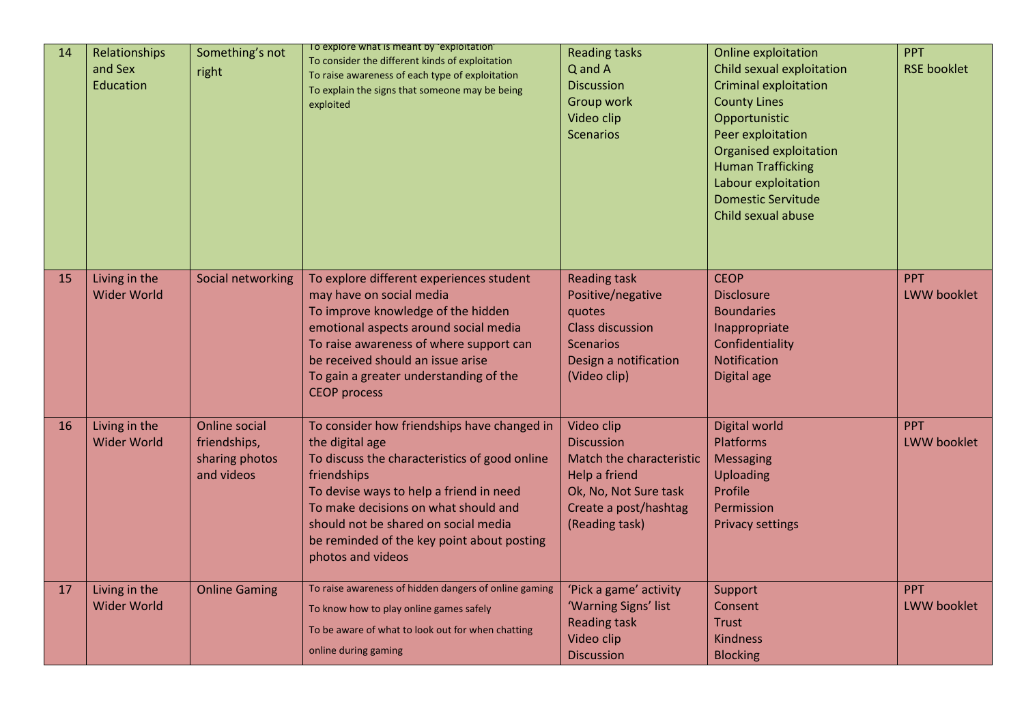| 14 | Relationships<br>and Sex<br>Education | Something's not<br>right                                             | To explore what is meant by exploitation<br>To consider the different kinds of exploitation<br>To raise awareness of each type of exploitation<br>To explain the signs that someone may be being<br>exploited                                                                                                                | <b>Reading tasks</b><br>Q and A<br><b>Discussion</b><br>Group work<br>Video clip<br><b>Scenarios</b>                                             | Online exploitation<br>Child sexual exploitation<br><b>Criminal exploitation</b><br><b>County Lines</b><br>Opportunistic<br>Peer exploitation<br>Organised exploitation<br><b>Human Trafficking</b><br>Labour exploitation<br><b>Domestic Servitude</b><br>Child sexual abuse | <b>PPT</b><br><b>RSE booklet</b> |
|----|---------------------------------------|----------------------------------------------------------------------|------------------------------------------------------------------------------------------------------------------------------------------------------------------------------------------------------------------------------------------------------------------------------------------------------------------------------|--------------------------------------------------------------------------------------------------------------------------------------------------|-------------------------------------------------------------------------------------------------------------------------------------------------------------------------------------------------------------------------------------------------------------------------------|----------------------------------|
| 15 | Living in the<br><b>Wider World</b>   | Social networking                                                    | To explore different experiences student<br>may have on social media<br>To improve knowledge of the hidden<br>emotional aspects around social media<br>To raise awareness of where support can<br>be received should an issue arise<br>To gain a greater understanding of the<br><b>CEOP</b> process                         | <b>Reading task</b><br>Positive/negative<br>quotes<br><b>Class discussion</b><br><b>Scenarios</b><br>Design a notification<br>(Video clip)       | <b>CEOP</b><br><b>Disclosure</b><br><b>Boundaries</b><br>Inappropriate<br>Confidentiality<br>Notification<br>Digital age                                                                                                                                                      | <b>PPT</b><br><b>LWW</b> booklet |
| 16 | Living in the<br><b>Wider World</b>   | <b>Online social</b><br>friendships,<br>sharing photos<br>and videos | To consider how friendships have changed in<br>the digital age<br>To discuss the characteristics of good online<br>friendships<br>To devise ways to help a friend in need<br>To make decisions on what should and<br>should not be shared on social media<br>be reminded of the key point about posting<br>photos and videos | Video clip<br><b>Discussion</b><br>Match the characteristic<br>Help a friend<br>Ok, No, Not Sure task<br>Create a post/hashtag<br>(Reading task) | Digital world<br>Platforms<br><b>Messaging</b><br>Uploading<br>Profile<br>Permission<br><b>Privacy settings</b>                                                                                                                                                               | <b>PPT</b><br>LWW booklet        |
| 17 | Living in the<br><b>Wider World</b>   | <b>Online Gaming</b>                                                 | To raise awareness of hidden dangers of online gaming<br>To know how to play online games safely<br>To be aware of what to look out for when chatting<br>online during gaming                                                                                                                                                | 'Pick a game' activity<br>'Warning Signs' list<br><b>Reading task</b><br>Video clip<br><b>Discussion</b>                                         | Support<br>Consent<br><b>Trust</b><br><b>Kindness</b><br><b>Blocking</b>                                                                                                                                                                                                      | <b>PPT</b><br><b>LWW</b> booklet |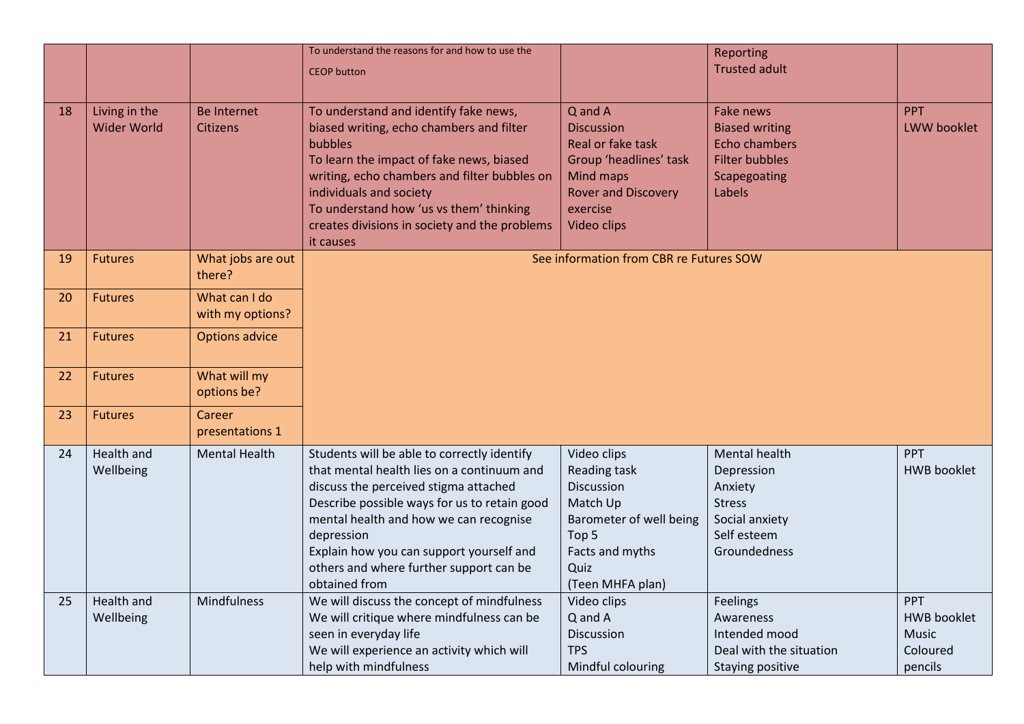|    |                                     |                                       | To understand the reasons for and how to use the<br><b>CEOP</b> button                                                                                                                                                                                                                                                                             |                                                                                                                                                   | Reporting<br><b>Trusted adult</b>                                                                             |                                                           |
|----|-------------------------------------|---------------------------------------|----------------------------------------------------------------------------------------------------------------------------------------------------------------------------------------------------------------------------------------------------------------------------------------------------------------------------------------------------|---------------------------------------------------------------------------------------------------------------------------------------------------|---------------------------------------------------------------------------------------------------------------|-----------------------------------------------------------|
| 18 | Living in the<br><b>Wider World</b> | <b>Be Internet</b><br><b>Citizens</b> | To understand and identify fake news,<br>biased writing, echo chambers and filter<br><b>bubbles</b><br>To learn the impact of fake news, biased<br>writing, echo chambers and filter bubbles on<br>individuals and society<br>To understand how 'us vs them' thinking<br>creates divisions in society and the problems<br>it causes                | Q and A<br><b>Discussion</b><br>Real or fake task<br>Group 'headlines' task<br>Mind maps<br><b>Rover and Discovery</b><br>exercise<br>Video clips | Fake news<br><b>Biased writing</b><br><b>Echo chambers</b><br><b>Filter bubbles</b><br>Scapegoating<br>Labels | <b>PPT</b><br><b>LWW</b> booklet                          |
| 19 | <b>Futures</b>                      | What jobs are out<br>there?           |                                                                                                                                                                                                                                                                                                                                                    | See information from CBR re Futures SOW                                                                                                           |                                                                                                               |                                                           |
| 20 | <b>Futures</b>                      | What can I do<br>with my options?     |                                                                                                                                                                                                                                                                                                                                                    |                                                                                                                                                   |                                                                                                               |                                                           |
| 21 | <b>Futures</b>                      | <b>Options advice</b>                 |                                                                                                                                                                                                                                                                                                                                                    |                                                                                                                                                   |                                                                                                               |                                                           |
| 22 | <b>Futures</b>                      | What will my<br>options be?           |                                                                                                                                                                                                                                                                                                                                                    |                                                                                                                                                   |                                                                                                               |                                                           |
| 23 | <b>Futures</b>                      | Career<br>presentations 1             |                                                                                                                                                                                                                                                                                                                                                    |                                                                                                                                                   |                                                                                                               |                                                           |
| 24 | Health and<br>Wellbeing             | <b>Mental Health</b>                  | Students will be able to correctly identify<br>that mental health lies on a continuum and<br>discuss the perceived stigma attached<br>Describe possible ways for us to retain good<br>mental health and how we can recognise<br>depression<br>Explain how you can support yourself and<br>others and where further support can be<br>obtained from | Video clips<br>Reading task<br>Discussion<br>Match Up<br>Barometer of well being<br>Top 5<br>Facts and myths<br>Quiz<br>(Teen MHFA plan)          | Mental health<br>Depression<br>Anxiety<br><b>Stress</b><br>Social anxiety<br>Self esteem<br>Groundedness      | PPT<br><b>HWB</b> booklet                                 |
| 25 | Health and<br>Wellbeing             | Mindfulness                           | We will discuss the concept of mindfulness<br>We will critique where mindfulness can be<br>seen in everyday life<br>We will experience an activity which will<br>help with mindfulness                                                                                                                                                             | Video clips<br>Q and A<br>Discussion<br><b>TPS</b><br>Mindful colouring                                                                           | Feelings<br>Awareness<br>Intended mood<br>Deal with the situation<br>Staying positive                         | PPT<br><b>HWB</b> booklet<br>Music<br>Coloured<br>pencils |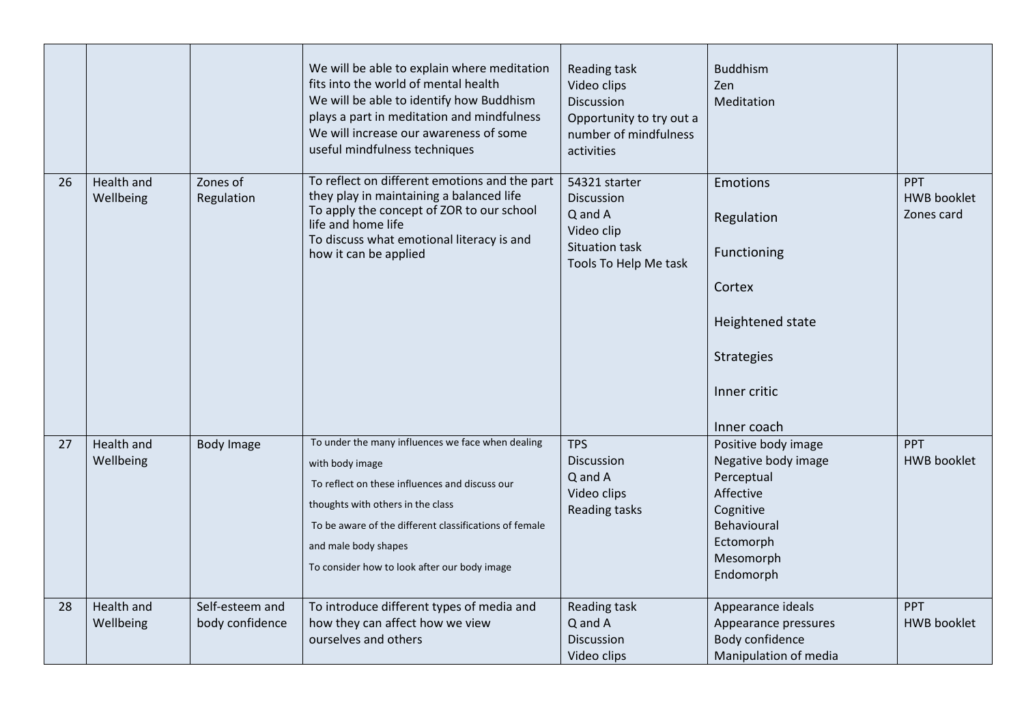|    |                         |                                    | We will be able to explain where meditation<br>fits into the world of mental health<br>We will be able to identify how Buddhism<br>plays a part in meditation and mindfulness<br>We will increase our awareness of some<br>useful mindfulness techniques                                      | Reading task<br>Video clips<br>Discussion<br>Opportunity to try out a<br>number of mindfulness<br>activities | <b>Buddhism</b><br>Zen<br>Meditation                                                                                                     |                                                |
|----|-------------------------|------------------------------------|-----------------------------------------------------------------------------------------------------------------------------------------------------------------------------------------------------------------------------------------------------------------------------------------------|--------------------------------------------------------------------------------------------------------------|------------------------------------------------------------------------------------------------------------------------------------------|------------------------------------------------|
| 26 | Health and<br>Wellbeing | Zones of<br>Regulation             | To reflect on different emotions and the part<br>they play in maintaining a balanced life<br>To apply the concept of ZOR to our school<br>life and home life<br>To discuss what emotional literacy is and<br>how it can be applied                                                            | 54321 starter<br>Discussion<br>Q and A<br>Video clip<br><b>Situation task</b><br>Tools To Help Me task       | Emotions<br>Regulation<br>Functioning<br>Cortex<br>Heightened state<br>Strategies<br>Inner critic<br>Inner coach                         | <b>PPT</b><br><b>HWB</b> booklet<br>Zones card |
| 27 | Health and<br>Wellbeing | <b>Body Image</b>                  | To under the many influences we face when dealing<br>with body image<br>To reflect on these influences and discuss our<br>thoughts with others in the class<br>To be aware of the different classifications of female<br>and male body shapes<br>To consider how to look after our body image | <b>TPS</b><br><b>Discussion</b><br>Q and A<br>Video clips<br><b>Reading tasks</b>                            | Positive body image<br>Negative body image<br>Perceptual<br>Affective<br>Cognitive<br>Behavioural<br>Ectomorph<br>Mesomorph<br>Endomorph | PPT<br><b>HWB booklet</b>                      |
| 28 | Health and<br>Wellbeing | Self-esteem and<br>body confidence | To introduce different types of media and<br>how they can affect how we view<br>ourselves and others                                                                                                                                                                                          | Reading task<br>Q and A<br>Discussion<br>Video clips                                                         | Appearance ideals<br>Appearance pressures<br>Body confidence<br>Manipulation of media                                                    | PPT<br><b>HWB</b> booklet                      |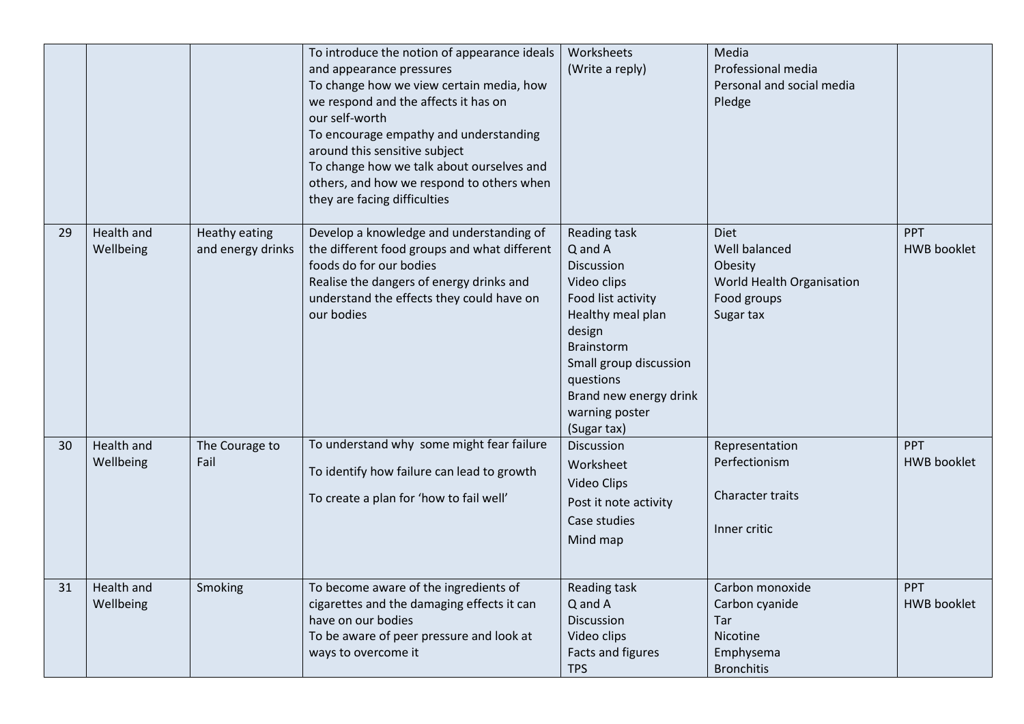|    |                         |                                    | To introduce the notion of appearance ideals<br>and appearance pressures<br>To change how we view certain media, how<br>we respond and the affects it has on<br>our self-worth<br>To encourage empathy and understanding<br>around this sensitive subject<br>To change how we talk about ourselves and<br>others, and how we respond to others when<br>they are facing difficulties | Worksheets<br>(Write a reply)                                                                                                                                                                                                    | Media<br>Professional media<br>Personal and social media<br>Pledge                               |                                  |
|----|-------------------------|------------------------------------|-------------------------------------------------------------------------------------------------------------------------------------------------------------------------------------------------------------------------------------------------------------------------------------------------------------------------------------------------------------------------------------|----------------------------------------------------------------------------------------------------------------------------------------------------------------------------------------------------------------------------------|--------------------------------------------------------------------------------------------------|----------------------------------|
| 29 | Health and<br>Wellbeing | Heathy eating<br>and energy drinks | Develop a knowledge and understanding of<br>the different food groups and what different<br>foods do for our bodies<br>Realise the dangers of energy drinks and<br>understand the effects they could have on<br>our bodies                                                                                                                                                          | Reading task<br>Q and A<br>Discussion<br>Video clips<br>Food list activity<br>Healthy meal plan<br>design<br><b>Brainstorm</b><br>Small group discussion<br>questions<br>Brand new energy drink<br>warning poster<br>(Sugar tax) | <b>Diet</b><br>Well balanced<br>Obesity<br>World Health Organisation<br>Food groups<br>Sugar tax | <b>PPT</b><br><b>HWB</b> booklet |
| 30 | Health and<br>Wellbeing | The Courage to<br>Fail             | To understand why some might fear failure<br>To identify how failure can lead to growth<br>To create a plan for 'how to fail well'                                                                                                                                                                                                                                                  | <b>Discussion</b><br>Worksheet<br>Video Clips<br>Post it note activity<br>Case studies<br>Mind map                                                                                                                               | Representation<br>Perfectionism<br>Character traits<br>Inner critic                              | <b>PPT</b><br><b>HWB booklet</b> |
| 31 | Health and<br>Wellbeing | Smoking                            | To become aware of the ingredients of<br>cigarettes and the damaging effects it can<br>have on our bodies<br>To be aware of peer pressure and look at<br>ways to overcome it                                                                                                                                                                                                        | Reading task<br>Q and A<br>Discussion<br>Video clips<br>Facts and figures<br><b>TPS</b>                                                                                                                                          | Carbon monoxide<br>Carbon cyanide<br>Tar<br>Nicotine<br>Emphysema<br><b>Bronchitis</b>           | <b>PPT</b><br><b>HWB</b> booklet |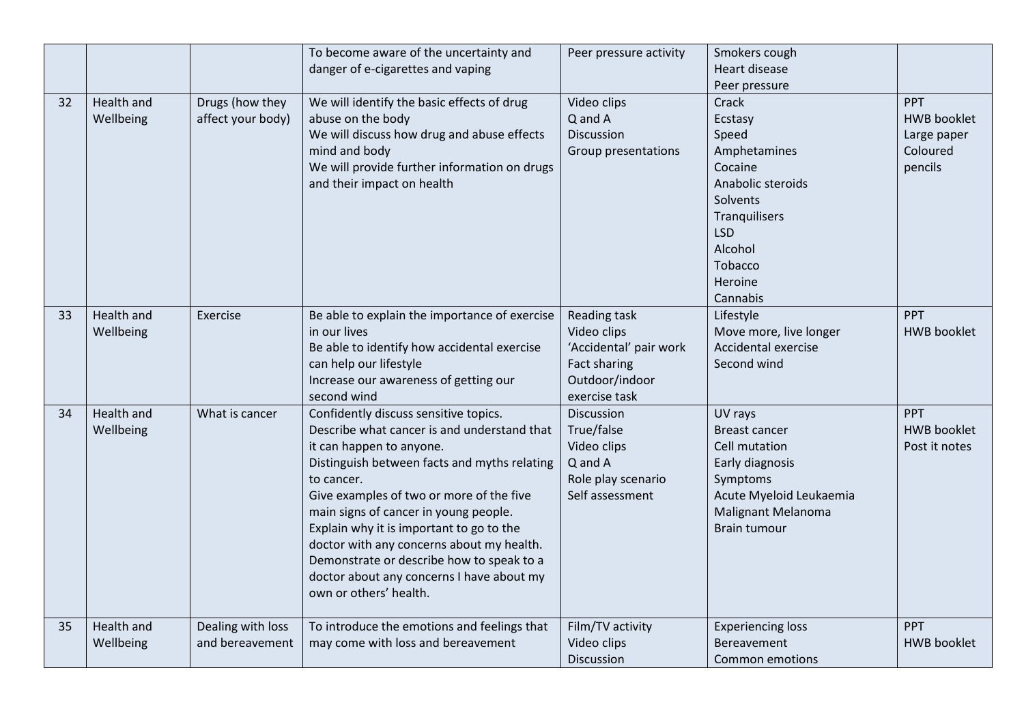|    |                         |                                      | To become aware of the uncertainty and<br>danger of e-cigarettes and vaping                                                                                                                                                                                                                                                                                                                                                                                                      | Peer pressure activity                                                                                   | Smokers cough<br>Heart disease                                                                                                                                    |                                                                        |
|----|-------------------------|--------------------------------------|----------------------------------------------------------------------------------------------------------------------------------------------------------------------------------------------------------------------------------------------------------------------------------------------------------------------------------------------------------------------------------------------------------------------------------------------------------------------------------|----------------------------------------------------------------------------------------------------------|-------------------------------------------------------------------------------------------------------------------------------------------------------------------|------------------------------------------------------------------------|
|    |                         |                                      |                                                                                                                                                                                                                                                                                                                                                                                                                                                                                  |                                                                                                          | Peer pressure                                                                                                                                                     |                                                                        |
| 32 | Health and<br>Wellbeing | Drugs (how they<br>affect your body) | We will identify the basic effects of drug<br>abuse on the body<br>We will discuss how drug and abuse effects<br>mind and body<br>We will provide further information on drugs<br>and their impact on health                                                                                                                                                                                                                                                                     | Video clips<br>Q and A<br>Discussion<br>Group presentations                                              | Crack<br>Ecstasy<br>Speed<br>Amphetamines<br>Cocaine<br>Anabolic steroids<br>Solvents<br>Tranquilisers<br><b>LSD</b><br>Alcohol<br>Tobacco<br>Heroine<br>Cannabis | <b>PPT</b><br><b>HWB</b> booklet<br>Large paper<br>Coloured<br>pencils |
| 33 | Health and<br>Wellbeing | Exercise                             | Be able to explain the importance of exercise<br>in our lives<br>Be able to identify how accidental exercise<br>can help our lifestyle<br>Increase our awareness of getting our<br>second wind                                                                                                                                                                                                                                                                                   | Reading task<br>Video clips<br>'Accidental' pair work<br>Fact sharing<br>Outdoor/indoor<br>exercise task | Lifestyle<br>Move more, live longer<br>Accidental exercise<br>Second wind                                                                                         | <b>PPT</b><br><b>HWB</b> booklet                                       |
| 34 | Health and<br>Wellbeing | What is cancer                       | Confidently discuss sensitive topics.<br>Describe what cancer is and understand that<br>it can happen to anyone.<br>Distinguish between facts and myths relating<br>to cancer.<br>Give examples of two or more of the five<br>main signs of cancer in young people.<br>Explain why it is important to go to the<br>doctor with any concerns about my health.<br>Demonstrate or describe how to speak to a<br>doctor about any concerns I have about my<br>own or others' health. | Discussion<br>True/false<br>Video clips<br>Q and A<br>Role play scenario<br>Self assessment              | UV rays<br><b>Breast cancer</b><br>Cell mutation<br>Early diagnosis<br>Symptoms<br>Acute Myeloid Leukaemia<br><b>Malignant Melanoma</b><br><b>Brain tumour</b>    | <b>PPT</b><br><b>HWB</b> booklet<br>Post it notes                      |
| 35 | Health and<br>Wellbeing | Dealing with loss<br>and bereavement | To introduce the emotions and feelings that<br>may come with loss and bereavement                                                                                                                                                                                                                                                                                                                                                                                                | Film/TV activity<br>Video clips<br><b>Discussion</b>                                                     | <b>Experiencing loss</b><br>Bereavement<br>Common emotions                                                                                                        | PPT<br><b>HWB</b> booklet                                              |